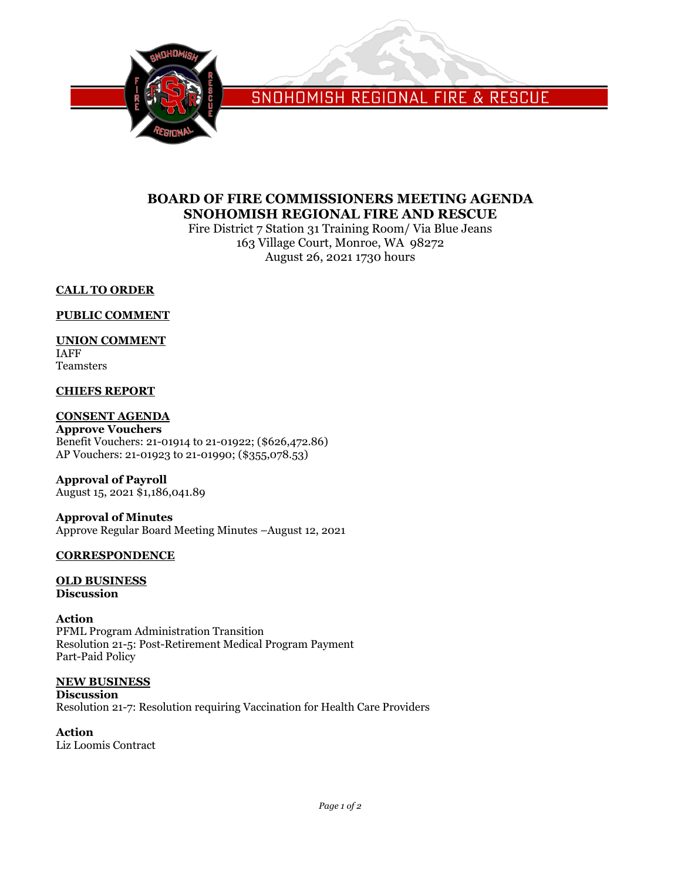

SNOHOMISH REGIONAL FIRE & RESCUE

# **BOARD OF FIRE COMMISSIONERS MEETING AGENDA SNOHOMISH REGIONAL FIRE AND RESCUE**

Fire District 7 Station 31 Training Room/ Via Blue Jeans 163 Village Court, Monroe, WA 98272 August 26, 2021 1730 hours

# **CALL TO ORDER**

## **PUBLIC COMMENT**

# **UNION COMMENT**

IAFF Teamsters

# **CHIEFS REPORT**

# **CONSENT AGENDA**

**Approve Vouchers** Benefit Vouchers: 21-01914 to 21-01922; (\$626,472.86) AP Vouchers: 21-01923 to 21-01990; (\$355,078.53)

**Approval of Payroll** August 15, 2021 \$1,186,041.89

**Approval of Minutes** Approve Regular Board Meeting Minutes –August 12, 2021

## **CORRESPONDENCE**

### **OLD BUSINESS Discussion**

# **Action**

PFML Program Administration Transition Resolution 21-5: Post-Retirement Medical Program Payment Part-Paid Policy

# **NEW BUSINESS**

**Discussion** Resolution 21-7: Resolution requiring Vaccination for Health Care Providers

**Action** Liz Loomis Contract